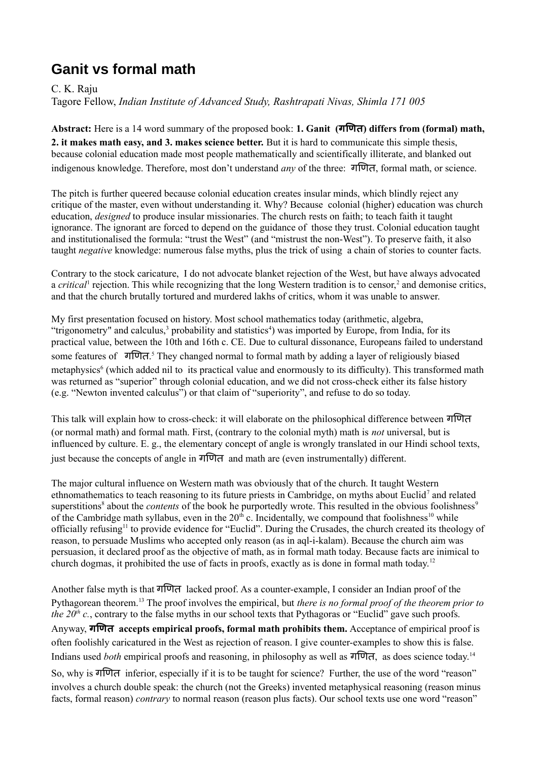## **Ganit vs formal math**

C. K. Raju Tagore Fellow, *Indian Institute of Advanced Study, Rashtrapati Nivas, Shimla 171 005*

**Abstract:** Here is a 14 word summary of the proposed book: **1. Ganit (गणणित) differs from (formal) math, 2. it makes math easy, and 3. makes science better.** But it is hard to communicate this simple thesis, because colonial education made most people mathematically and scientifically illiterate, and blanked out indigenous knowledge. Therefore, most don't understand *any* of the three: गणणित, formal math, or science.

The pitch is further queered because colonial education creates insular minds, which blindly reject any critique of the master, even without understanding it. Why? Because colonial (higher) education was church education, *designed* to produce insular missionaries. The church rests on faith; to teach faith it taught ignorance. The ignorant are forced to depend on the guidance of those they trust. Colonial education taught and institutionalised the formula: "trust the West" (and "mistrust the non-West"). To preserve faith, it also taught *negative* knowledge: numerous false myths, plus the trick of using a chain of stories to counter facts.

Contrary to the stock caricature, I do not advocate blanket rejection of the West, but have always advocated a *critical*<sup>1</sup> rejection. This while recognizing that the long Western tradition is to censor,<sup>2</sup> and demonise critics, and that the church brutally tortured and murdered lakhs of critics, whom it was unable to answer.

My first presentation focused on history. Most school mathematics today (arithmetic, algebra, "trigonometry" and calculus,<sup>3</sup> probability and statistics<sup>4</sup>) was imported by Europe, from India, for its practical value, between the 10th and 16th c. CE. Due to cultural dissonance, Europeans failed to understand some features of गणित.<sup>5</sup> They changed normal to formal math by adding a layer of religiously biased metaphysics<sup>6</sup> (which added nil to its practical value and enormously to its difficulty). This transformed math was returned as "superior" through colonial education, and we did not cross-check either its false history (e.g. "Newton invented calculus") or that claim of "superiority", and refuse to do so today.

This talk will explain how to cross-check: it will elaborate on the philosophical difference between गणणित (or normal math) and formal math. First, (contrary to the colonial myth) math is *not* universal, but is influenced by culture. E. g., the elementary concept of angle is wrongly translated in our Hindi school texts, just because the concepts of angle in गणणित and math are (even instrumentally) different.

The major cultural influence on Western math was obviously that of the church. It taught Western ethnomathematics to teach reasoning to its future priests in Cambridge, on myths about Euclid<sup>7</sup> and related superstitions<sup>8</sup> about the *contents* of the book he purportedly wrote. This resulted in the obvious foolishness<sup>9</sup> of the Cambridge math syllabus, even in the  $20<sup>th</sup>$  c. Incidentally, we compound that foolishness<sup>10</sup> while officially refusing<sup>11</sup> to provide evidence for "Euclid". During the Crusades, the church created its theology of reason, to persuade Muslims who accepted only reason (as in aql-i-kalam). Because the church aim was persuasion, it declared proof as the objective of math, as in formal math today. Because facts are inimical to church dogmas, it prohibited the use of facts in proofs, exactly as is done in formal math today.<sup>12</sup>

Another false myth is that गणणित lacked proof. As a counter-example, I consider an Indian proof of the Pythagorean theorem.<sup>13</sup> The proof involves the empirical, but *there is no formal proof of the theorem prior to the*  $20<sup>th</sup>$  *c.*, contrary to the false myths in our school texts that Pythagoras or "Euclid" gave such proofs. Anyway, **गणणित accepts empirical proofs, formal math prohibits them.** Acceptance of empirical proof is often foolishly caricatured in the West as rejection of reason. I give counter-examples to show this is false. Indians used *both* empirical proofs and reasoning, in philosophy as well as गणणित, as does science today.<sup>14</sup>

So, why is गणणित inferior, especially if it is to be taught for science? Further, the use of the word "reason" involves a church double speak: the church (not the Greeks) invented metaphysical reasoning (reason minus facts, formal reason) *contrary* to normal reason (reason plus facts). Our school texts use one word "reason"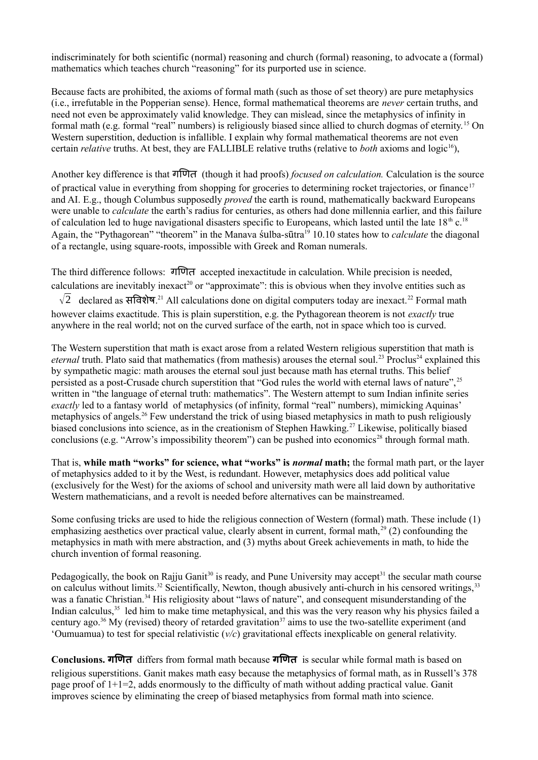indiscriminately for both scientific (normal) reasoning and church (formal) reasoning, to advocate a (formal) mathematics which teaches church "reasoning" for its purported use in science.

Because facts are prohibited, the axioms of formal math (such as those of set theory) are pure metaphysics (i.e., irrefutable in the Popperian sense). Hence, formal mathematical theorems are *never* certain truths, and need not even be approximately valid knowledge. They can mislead, since the metaphysics of infinity in formal math (e.g. formal "real" numbers) is religiously biased since allied to church dogmas of eternity.<sup>15</sup> On Western superstition, deduction is infallible. I explain why formal mathematical theorems are not even certain *relative* truths. At best, they are FALLIBLE relative truths (relative to *both* axioms and logic<sup>16</sup>),

Another key difference is that गणणित (though it had proofs) *focused on calculation.* Calculation is the source of practical value in everything from shopping for groceries to determining rocket trajectories, or finance<sup>17</sup> and AI. E.g., though Columbus supposedly *proved* the earth is round, mathematically backward Europeans were unable to *calculate* the earth's radius for centuries, as others had done millennia earlier, and this failure of calculation led to huge navigational disasters specific to Europeans, which lasted until the late  $18<sup>th</sup>$  c.<sup>18</sup> Again, the "Pythagorean" "theorem" in the Manava sulba-sūtra<sup>19</sup> 10.10 states how to *calculate* the diagonal of a rectangle, using square-roots, impossible with Greek and Roman numerals.

The third difference follows: गणणित accepted inexactitude in calculation. While precision is needed, calculations are inevitably inexact<sup>20</sup> or "approximate": this is obvious when they involve entities such as  $\sqrt{2}$  declared as सविशेष.<sup>21</sup> All calculations done on digital computers today are inexact.<sup>22</sup> Formal math however claims exactitude. This is plain superstition, e.g. the Pythagorean theorem is not *exactly* true anywhere in the real world; not on the curved surface of the earth, not in space which too is curved.

The Western superstition that math is exact arose from a related Western religious superstition that math is *eternal* truth. Plato said that mathematics (from mathesis) arouses the eternal soul.<sup>23</sup> Proclus<sup>24</sup> explained this by sympathetic magic: math arouses the eternal soul just because math has eternal truths. This belief persisted as a post-Crusade church superstition that "God rules the world with eternal laws of nature", <sup>25</sup> written in "the language of eternal truth: mathematics". The Western attempt to sum Indian infinite series *exactly* led to a fantasy world of metaphysics (of infinity, formal "real" numbers), mimicking Aquinas' metaphysics of angels.<sup>26</sup> Few understand the trick of using biased metaphysics in math to push religiously biased conclusions into science, as in the creationism of Stephen Hawking.<sup>27</sup> Likewise, politically biased conclusions (e.g. "Arrow's impossibility theorem") can be pushed into economics<sup>28</sup> through formal math.

That is, **while math "works" for science, what "works" is** *normal* **math;** the formal math part, or the layer of metaphysics added to it by the West, is redundant. However, metaphysics does add political value (exclusively for the West) for the axioms of school and university math were all laid down by authoritative Western mathematicians, and a revolt is needed before alternatives can be mainstreamed.

Some confusing tricks are used to hide the religious connection of Western (formal) math. These include (1) emphasizing aesthetics over practical value, clearly absent in current, formal math, $^{29}$  (2) confounding the metaphysics in math with mere abstraction, and (3) myths about Greek achievements in math, to hide the church invention of formal reasoning.

Pedagogically, the book on Rajju Ganit<sup>30</sup> is ready, and Pune University may accept<sup>31</sup> the secular math course on calculus without limits.<sup>32</sup> Scientifically, Newton, though abusively anti-church in his censored writings,<sup>33</sup> was a fanatic Christian.<sup>34</sup> His religiosity about "laws of nature", and consequent misunderstanding of the Indian calculus,<sup>35</sup> led him to make time metaphysical, and this was the very reason why his physics failed a century ago.<sup>36</sup> My (revised) theory of retarded gravitation<sup>37</sup> aims to use the two-satellite experiment (and 'Oumuamua) to test for special relativistic (*v/c*) gravitational effects inexplicable on general relativity.

**Conclusions. गणणित** differs from formal math because **गणणित** is secular while formal math is based on religious superstitions. Ganit makes math easy because the metaphysics of formal math, as in Russell's 378 page proof of 1+1=2, adds enormously to the difficulty of math without adding practical value. Ganit improves science by eliminating the creep of biased metaphysics from formal math into science.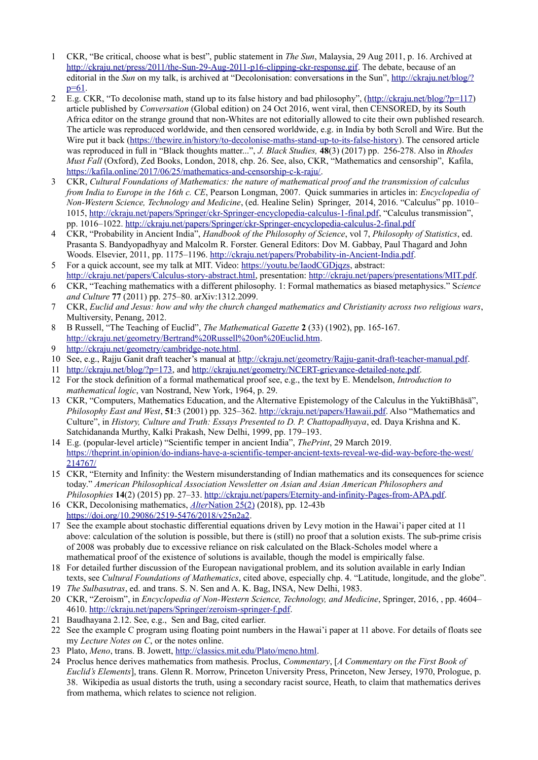- 1 CKR, "Be critical, choose what is best", public statement in *The Sun*, Malaysia, 29 Aug 2011, p. 16. Archived at [http://ckraju.net/press/2011/the-Sun-29-Aug-2011-p16-clipping-ckr-response.gif.](http://ckraju.net/press/2011/the-Sun-29-Aug-2011-p16-clipping-ckr-response.gif) The debate, because of an editorial in the *Sun* on my talk, is archived at "Decolonisation: conversations in the Sun", [http://ckraju.net/blog/?](http://ckraju.net/blog/?p=61) [p=61.](http://ckraju.net/blog/?p=61)
- 2 E.g. CKR, "To decolonise math, stand up to its false history and bad philosophy", [\(http://ckraju.net/blog/?p=117\)](http://ckraju.net/blog/?p=117) article published by *Conversation* (Global edition) on 24 Oct 2016, went viral, then CENSORED, by its South Africa editor on the strange ground that non-Whites are not editorially allowed to cite their own published research. The article was reproduced worldwide, and then censored worldwide, e.g. in India by both Scroll and Wire. But the Wire put it back [\(https://thewire.in/history/to-decolonise-maths-stand-up-to-its-false-history\)](https://thewire.in/history/to-decolonise-maths-stand-up-to-its-false-history). The censored article was reproduced in full in "Black thoughts matter...", *J. Black Studies,* **48**(3) (2017) pp. 256-278. Also in *Rhodes Must Fall* (Oxford), Zed Books, London, 2018, chp. 26. See, also, CKR, "Mathematics and censorship", Kafila, [https://kafila.online/2017/06/25/mathematics-and-censorship-c-k-raju/.](https://kafila.online/2017/06/25/mathematics-and-censorship-c-k-raju/)
- 3 CKR, *Cultural Foundations of Mathematics: the nature of mathematical proof and the transmission of calculus from India to Europe in the 16th c. CE*, Pearson Longman, 2007. Quick summaries in articles in: *Encyclopedia of Non-Western Science, Technology and Medicine*, (ed. Healine Selin) Springer, 2014, 2016. "Calculus" pp. 1010– 1015, [http://ckraju.net/papers/Springer/ckr-Springer-encyclopedia-calculus-1-final.pdf,](http://ckraju.net/papers/Springer/ckr-Springer-encyclopedia-calculus-1-final.pdf) "Calculus transmission", pp. 1016–1022.<http://ckraju.net/papers/Springer/ckr-Springer-encyclopedia-calculus-2-final.pdf>
- 4 CKR, "Probability in Ancient India", *Handbook of the Philosophy of Science*, vol 7, *Philosophy of Statistics*, ed. Prasanta S. Bandyopadhyay and Malcolm R. Forster. General Editors: Dov M. Gabbay, Paul Thagard and John Woods. Elsevier, 2011, pp. 1175–1196. [http://ckraju.net/papers/Probability-in-Ancient-India.pdf.](http://ckraju.net/papers/Probability-in-Ancient-India.pdf)
- 5 For a quick account, see my talk at MIT. Video: [https://youtu.be/IaodCGDjqzs,](https://youtu.be/IaodCGDjqzs) abstract: [http://ckraju.net/papers/Calculus-story-abstract.html,](http://ckraju.net/papers/Calculus-story-abstract.html) presentation: [http://ckraju.net/papers/presentations/MIT.pdf.](http://ckraju.net/papers/presentations/MIT.pdf)
- 6 CKR, "Teaching mathematics with a different philosophy. 1: Formal mathematics as biased metaphysics." S*cience and Culture* **77** (2011) pp. 275–80. arXiv:1312.2099.
- 7 CKR, *Euclid and Jesus: how and why the church changed mathematics and Christianity across two religious wars*, Multiversity, Penang, 2012.
- 8 B Russell, "The Teaching of Euclid", *The Mathematical Gazette* **2** (33) (1902), pp. 165-167. [http://ckraju.net/geometry/Bertrand%20Russell%20on%20Euclid.htm.](http://ckraju.net/geometry/Bertrand%20Russell%20on%20Euclid.htm)
- 9 [http://ckraju.net/geometry/cambridge-note.html.](http://ckraju.net/geometry/cambridge-note.html)
- 10 See, e.g., Rajju Ganit draft teacher's manual at [http://ckraju.net/geometry/Rajju-ganit-draft-teacher-manual.pdf.](http://ckraju.net/geometry/Rajju-ganit-draft-teacher-manual.pdf)
- 11 [http://ckraju.net/blog/?p=173,](http://ckraju.net/blog/?p=173) and [http://ckraju.net/geometry/NCERT-grievance-detailed-note.pdf.](http://ckraju.net/geometry/NCERT-grievance-detailed-note.pdf)
- 12 For the stock definition of a formal mathematical proof see, e.g., the text by E. Mendelson, *Introduction to mathematical logic*, van Nostrand, New York, 1964, p. 29.
- 13 CKR, "Computers, Mathematics Education, and the Alternative Epistemology of the Calculus in the YuktiBhāsā", *Philosophy East and West*, **51**:3 (2001) pp. 325–362. [http://ckraju.net/papers/Hawaii.pdf.](http://ckraju.net/papers/Hawaii.pdf) Also "Mathematics and Culture", in *History, Culture and Truth: Essays Presented to D. P. Chattopadhyaya*, ed. Daya Krishna and K. Satchidananda Murthy, Kalki Prakash, New Delhi, 1999, pp. 179–193.
- 14 E.g. (popular-level article) "Scientific temper in ancient India", *ThePrint*, 29 March 2019. [https://theprint.in/opinion/do-indians-have-a-scientific-temper-ancient-texts-reveal-we-did-way-before-the-west/](https://theprint.in/opinion/do-indians-have-a-scientific-temper-ancient-texts-reveal-we-did-way-before-the-west/214767/) [214767/](https://theprint.in/opinion/do-indians-have-a-scientific-temper-ancient-texts-reveal-we-did-way-before-the-west/214767/)
- 15 CKR, "Eternity and Infinity: the Western misunderstanding of Indian mathematics and its consequences for science today." *American Philosophical Association Newsletter on Asian and Asian American Philosophers and Philosophies* **14**(2) (2015) pp. 27–33. [http://ckraju.net/papers/Eternity-and-infinity-Pages-from-APA.pdf.](http://ckraju.net/papers/Eternity-and-infinity-Pages-from-APA.pdf)
- 16 CKR, Decolonising mathematics, *[Alter](http://alternation.ukzn.ac.za/pages/volume-25-2018/alternation-252.aspx)* [Nation 25\(2\)](http://alternation.ukzn.ac.za/pages/volume-25-2018/alternation-252.aspx) (2018), pp. 12-43b [https://doi.org/10.29086/2519-5476/2018/v25n2a2.](https://doi.org/10.29086/2519-5476/2018/v25n2a2)
- 17 See the example about stochastic differential equations driven by Levy motion in the Hawai'i paper cited at 11 above: calculation of the solution is possible, but there is (still) no proof that a solution exists. The sub-prime crisis of 2008 was probably due to excessive reliance on risk calculated on the Black-Scholes model where a mathematical proof of the existence of solutions is available, though the model is empirically false.
- 18 For detailed further discussion of the European navigational problem, and its solution available in early Indian texts, see *Cultural Foundations of Mathematics*, cited above, especially chp. 4. "Latitude, longitude, and the globe".
- 19 *The Sulbasutras*, ed. and trans. S. N. Sen and A. K. Bag, INSA, New Delhi, 1983.
- 20 CKR, "Zeroism", in *Encyclopedia of Non-Western Science, Technology, and Medicine*, Springer, 2016, , pp. 4604– 4610. [http://ckraju.net/papers/Springer/zeroism-springer-f.pdf.](http://ckraju.net/papers/Springer/zeroism-springer-f.pdf)
- 21 Baudhayana 2.12. See, e.g., Sen and Bag, cited earlier.
- 22 See the example C program using floating point numbers in the Hawai'i paper at 11 above. For details of floats see my *Lecture Notes on C*, or the notes online.
- 23 Plato, *Meno*, trans. B. Jowett, [http://classics.mit.edu/Plato/meno.html.](http://classics.mit.edu/Plato/meno.html)
- 24 Proclus hence derives mathematics from mathesis. Proclus, *Commentary*, [*A Commentary on the First Book of Euclid's Elements*], trans. Glenn R. Morrow, Princeton University Press, Princeton, New Jersey, 1970, Prologue, p. 38. Wikipedia as usual distorts the truth, using a secondary racist source, Heath, to claim that mathematics derives from mathema, which relates to science not religion.